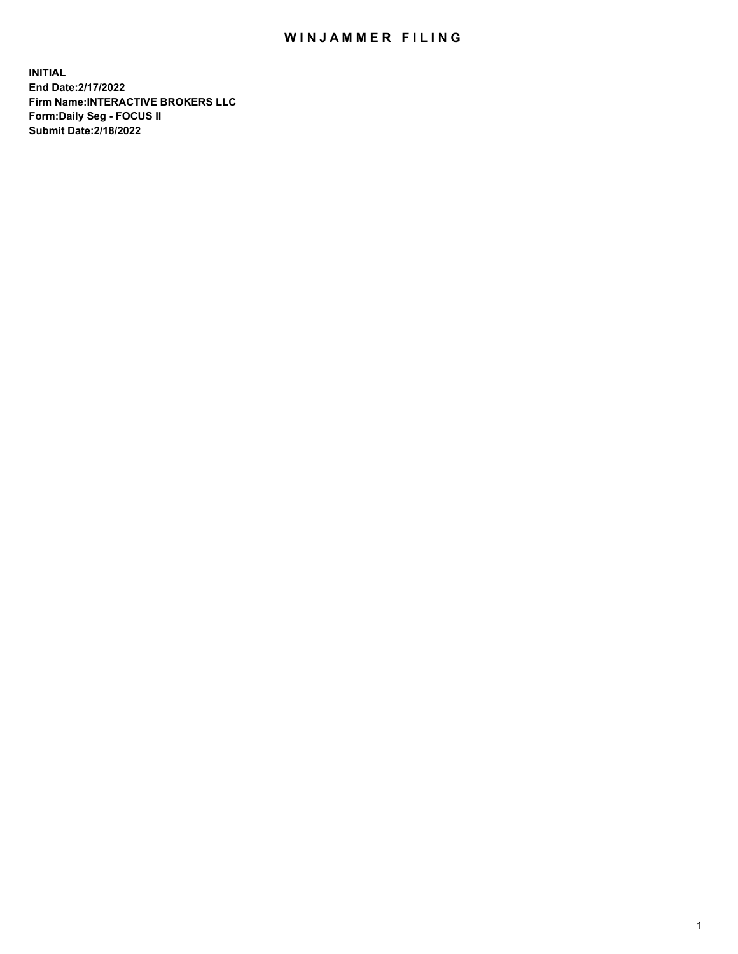## WIN JAMMER FILING

**INITIAL End Date:2/17/2022 Firm Name:INTERACTIVE BROKERS LLC Form:Daily Seg - FOCUS II Submit Date:2/18/2022**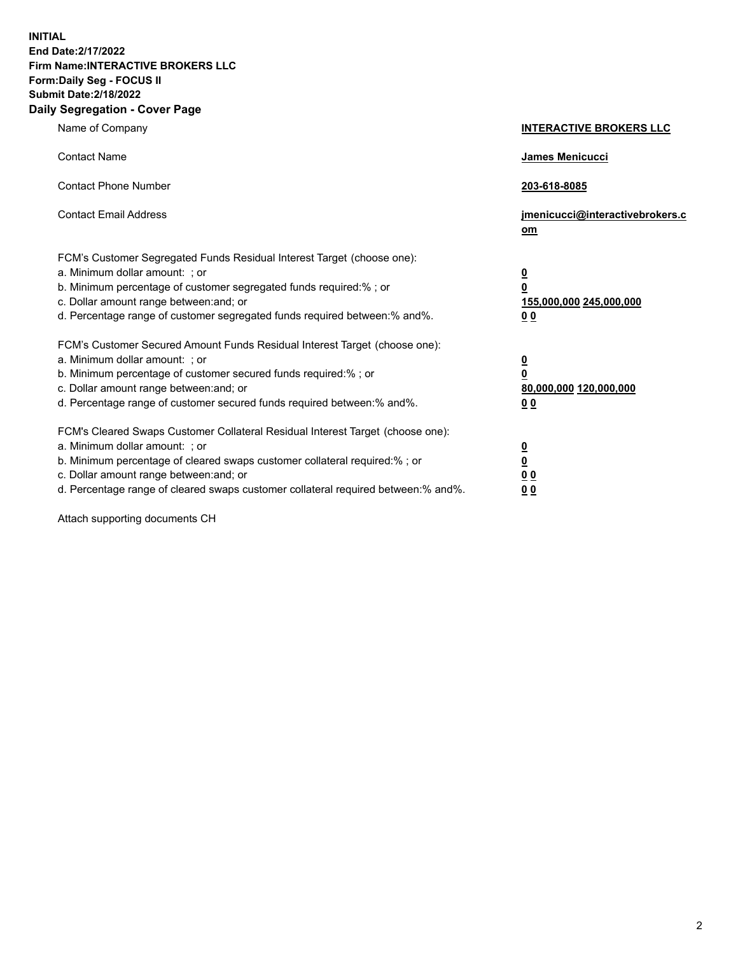**INITIAL End Date:2/17/2022 Firm Name:INTERACTIVE BROKERS LLC Form:Daily Seg - FOCUS II Submit Date:2/18/2022 Daily Segregation - Cover Page**

| Name of Company                                                                                                                                                                                                                                                                                                               | <b>INTERACTIVE BROKERS LLC</b>                                                                  |
|-------------------------------------------------------------------------------------------------------------------------------------------------------------------------------------------------------------------------------------------------------------------------------------------------------------------------------|-------------------------------------------------------------------------------------------------|
| <b>Contact Name</b>                                                                                                                                                                                                                                                                                                           | James Menicucci                                                                                 |
| <b>Contact Phone Number</b>                                                                                                                                                                                                                                                                                                   | 203-618-8085                                                                                    |
| <b>Contact Email Address</b>                                                                                                                                                                                                                                                                                                  | jmenicucci@interactivebrokers.c<br><u>om</u>                                                    |
| FCM's Customer Segregated Funds Residual Interest Target (choose one):<br>a. Minimum dollar amount: ; or<br>b. Minimum percentage of customer segregated funds required:% ; or<br>c. Dollar amount range between: and; or<br>d. Percentage range of customer segregated funds required between:% and%.                        | $\overline{\mathbf{0}}$<br>$\overline{\mathbf{0}}$<br>155,000,000 245,000,000<br>0 <sub>0</sub> |
| FCM's Customer Secured Amount Funds Residual Interest Target (choose one):<br>a. Minimum dollar amount: ; or<br>b. Minimum percentage of customer secured funds required:%; or<br>c. Dollar amount range between: and; or<br>d. Percentage range of customer secured funds required between:% and%.                           | $\overline{\mathbf{0}}$<br>$\overline{\mathbf{0}}$<br>80,000,000 120,000,000<br>0 <sub>0</sub>  |
| FCM's Cleared Swaps Customer Collateral Residual Interest Target (choose one):<br>a. Minimum dollar amount: ; or<br>b. Minimum percentage of cleared swaps customer collateral required:%; or<br>c. Dollar amount range between: and; or<br>d. Percentage range of cleared swaps customer collateral required between:% and%. | $\overline{\mathbf{0}}$<br>$\overline{\mathbf{0}}$<br>0 <sub>0</sub><br>0 <sub>0</sub>          |

Attach supporting documents CH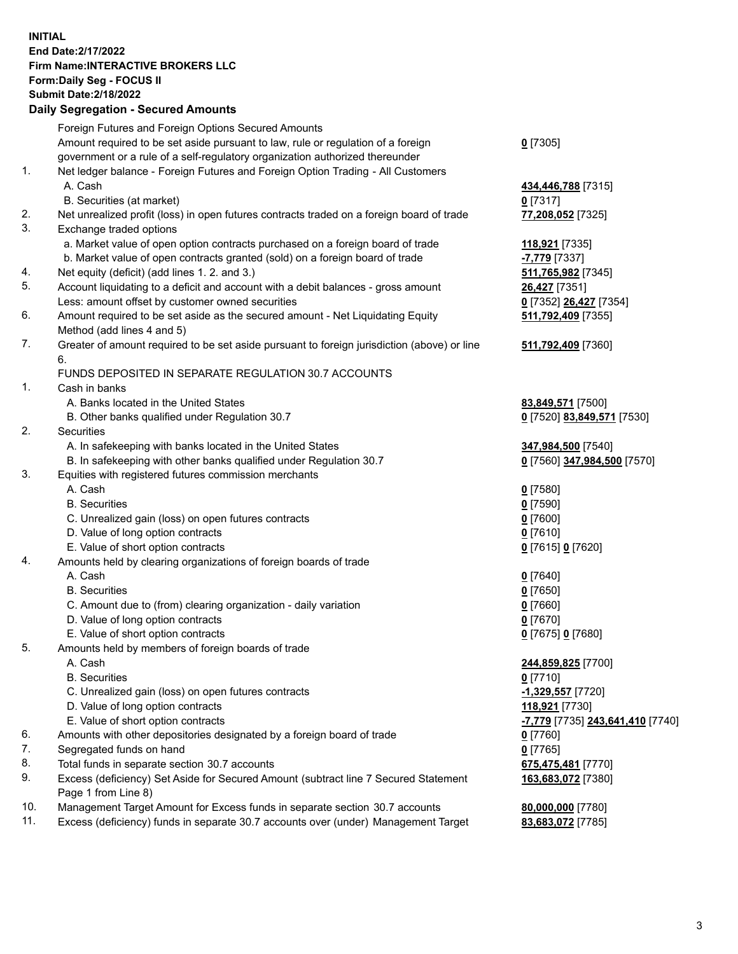**INITIAL End Date:2/17/2022 Firm Name:INTERACTIVE BROKERS LLC Form:Daily Seg - FOCUS II Submit Date:2/18/2022 Daily Segregation - Secured Amounts**

|     | Foreign Futures and Foreign Options Secured Amounts                                         |                                                      |
|-----|---------------------------------------------------------------------------------------------|------------------------------------------------------|
|     | Amount required to be set aside pursuant to law, rule or regulation of a foreign            | $0$ [7305]                                           |
|     | government or a rule of a self-regulatory organization authorized thereunder                |                                                      |
| 1.  | Net ledger balance - Foreign Futures and Foreign Option Trading - All Customers             |                                                      |
|     | A. Cash                                                                                     | 434,446,788 [7315]                                   |
|     | B. Securities (at market)                                                                   | $0$ [7317]                                           |
| 2.  | Net unrealized profit (loss) in open futures contracts traded on a foreign board of trade   | 77,208,052 [7325]                                    |
| 3.  | Exchange traded options                                                                     |                                                      |
|     | a. Market value of open option contracts purchased on a foreign board of trade              | 118,921 [7335]                                       |
|     | b. Market value of open contracts granted (sold) on a foreign board of trade                | <mark>-7,779</mark> [7337]                           |
| 4.  | Net equity (deficit) (add lines 1. 2. and 3.)                                               | 511,765,982 [7345]                                   |
| 5.  | Account liquidating to a deficit and account with a debit balances - gross amount           | 26,427 [7351]                                        |
|     | Less: amount offset by customer owned securities                                            | 0 [7352] 26,427 [7354]                               |
| 6.  | Amount required to be set aside as the secured amount - Net Liquidating Equity              | 511,792,409 [7355]                                   |
|     | Method (add lines 4 and 5)                                                                  |                                                      |
| 7.  | Greater of amount required to be set aside pursuant to foreign jurisdiction (above) or line | 511,792,409 [7360]                                   |
|     | 6.                                                                                          |                                                      |
|     | FUNDS DEPOSITED IN SEPARATE REGULATION 30.7 ACCOUNTS                                        |                                                      |
| 1.  | Cash in banks                                                                               |                                                      |
|     | A. Banks located in the United States                                                       | 83,849,571 [7500]                                    |
|     | B. Other banks qualified under Regulation 30.7                                              | 0 [7520] 83,849,571 [7530]                           |
| 2.  | Securities                                                                                  |                                                      |
|     | A. In safekeeping with banks located in the United States                                   | 347,984,500 [7540]                                   |
|     | B. In safekeeping with other banks qualified under Regulation 30.7                          | 0 [7560] 347,984,500 [7570]                          |
| 3.  | Equities with registered futures commission merchants                                       |                                                      |
|     | A. Cash                                                                                     | $0$ [7580]                                           |
|     | <b>B.</b> Securities                                                                        | $0$ [7590]                                           |
|     | C. Unrealized gain (loss) on open futures contracts                                         | $0$ [7600]                                           |
|     | D. Value of long option contracts                                                           | $0$ [7610]                                           |
|     | E. Value of short option contracts                                                          | 0 [7615] 0 [7620]                                    |
| 4.  | Amounts held by clearing organizations of foreign boards of trade                           |                                                      |
|     | A. Cash                                                                                     | $0$ [7640]                                           |
|     | <b>B.</b> Securities                                                                        | $0$ [7650]                                           |
|     | C. Amount due to (from) clearing organization - daily variation                             | $0$ [7660]                                           |
|     | D. Value of long option contracts                                                           | $0$ [7670]                                           |
|     | E. Value of short option contracts                                                          | 0 [7675] 0 [7680]                                    |
| 5.  | Amounts held by members of foreign boards of trade                                          |                                                      |
|     | A. Cash                                                                                     | 244,859,825 [7700]                                   |
|     | <b>B.</b> Securities                                                                        | $0$ [7710]                                           |
|     | C. Unrealized gain (loss) on open futures contracts                                         | -1,329,557 [7720]                                    |
|     | D. Value of long option contracts                                                           | 118,921 [7730]                                       |
|     | E. Value of short option contracts                                                          | <mark>-7,779</mark> [7735] <b>243,641,410</b> [7740] |
| 6.  | Amounts with other depositories designated by a foreign board of trade                      | $0$ [7760]                                           |
| 7.  | Segregated funds on hand                                                                    | $0$ [7765]                                           |
| 8.  | Total funds in separate section 30.7 accounts                                               | 675,475,481 [7770]                                   |
| 9.  | Excess (deficiency) Set Aside for Secured Amount (subtract line 7 Secured Statement         | 163,683,072 [7380]                                   |
|     | Page 1 from Line 8)                                                                         |                                                      |
| 10. | Management Target Amount for Excess funds in separate section 30.7 accounts                 | 80,000,000 [7780]                                    |
| 11. | Excess (deficiency) funds in separate 30.7 accounts over (under) Management Target          | 83,683,072 [7785]                                    |
|     |                                                                                             |                                                      |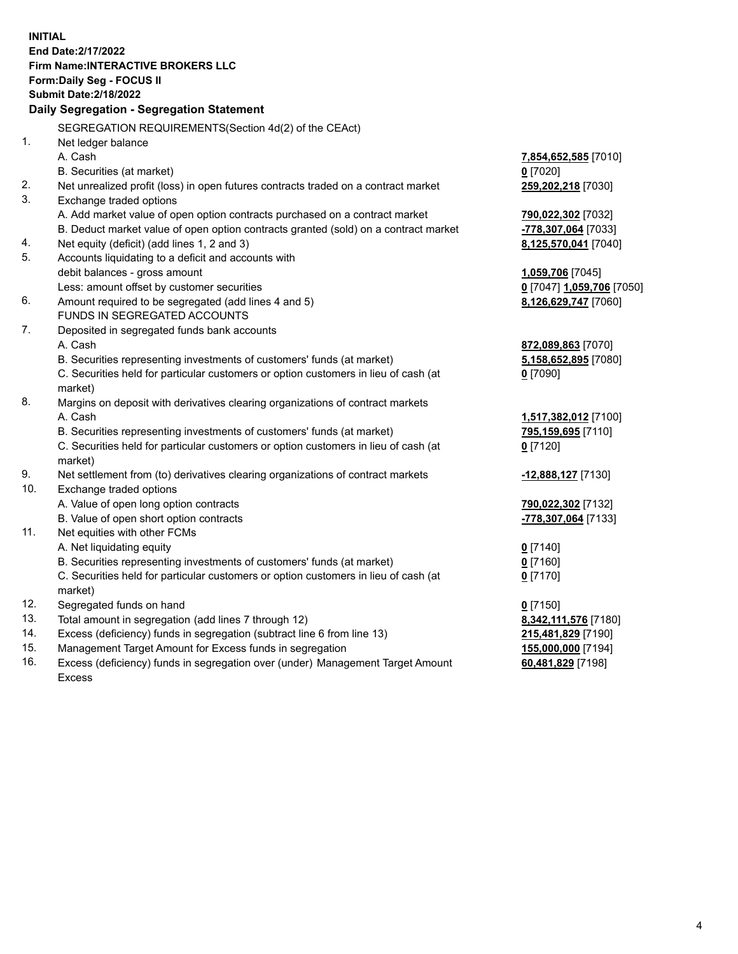**INITIAL End Date:2/17/2022 Firm Name:INTERACTIVE BROKERS LLC Form:Daily Seg - FOCUS II Submit Date:2/18/2022 Daily Segregation - Segregation Statement** SEGREGATION REQUIREMENTS(Section 4d(2) of the CEAct) 1. Net ledger balance A. Cash **7,854,652,585** [7010] B. Securities (at market) **0** [7020] 2. Net unrealized profit (loss) in open futures contracts traded on a contract market **259,202,218** [7030] 3. Exchange traded options A. Add market value of open option contracts purchased on a contract market **790,022,302** [7032] B. Deduct market value of open option contracts granted (sold) on a contract market **-778,307,064** [7033] 4. Net equity (deficit) (add lines 1, 2 and 3) **8,125,570,041** [7040] 5. Accounts liquidating to a deficit and accounts with debit balances - gross amount **1,059,706** [7045] Less: amount offset by customer securities **0** [7047] **1,059,706** [7050] 6. Amount required to be segregated (add lines 4 and 5) **8,126,629,747** [7060] FUNDS IN SEGREGATED ACCOUNTS 7. Deposited in segregated funds bank accounts A. Cash **872,089,863** [7070] B. Securities representing investments of customers' funds (at market) **5,158,652,895** [7080] C. Securities held for particular customers or option customers in lieu of cash (at market) **0** [7090] 8. Margins on deposit with derivatives clearing organizations of contract markets A. Cash **1,517,382,012** [7100] B. Securities representing investments of customers' funds (at market) **795,159,695** [7110] C. Securities held for particular customers or option customers in lieu of cash (at market) **0** [7120] 9. Net settlement from (to) derivatives clearing organizations of contract markets **-12,888,127** [7130] 10. Exchange traded options A. Value of open long option contracts **790,022,302** [7132] B. Value of open short option contracts **-778,307,064** [7133] 11. Net equities with other FCMs A. Net liquidating equity **0** [7140] B. Securities representing investments of customers' funds (at market) **0** [7160] C. Securities held for particular customers or option customers in lieu of cash (at market) **0** [7170] 12. Segregated funds on hand **0** [7150] 13. Total amount in segregation (add lines 7 through 12) **8,342,111,576** [7180] 14. Excess (deficiency) funds in segregation (subtract line 6 from line 13) **215,481,829** [7190] 15. Management Target Amount for Excess funds in segregation **155,000,000** [7194] **60,481,829** [7198]

16. Excess (deficiency) funds in segregation over (under) Management Target Amount Excess